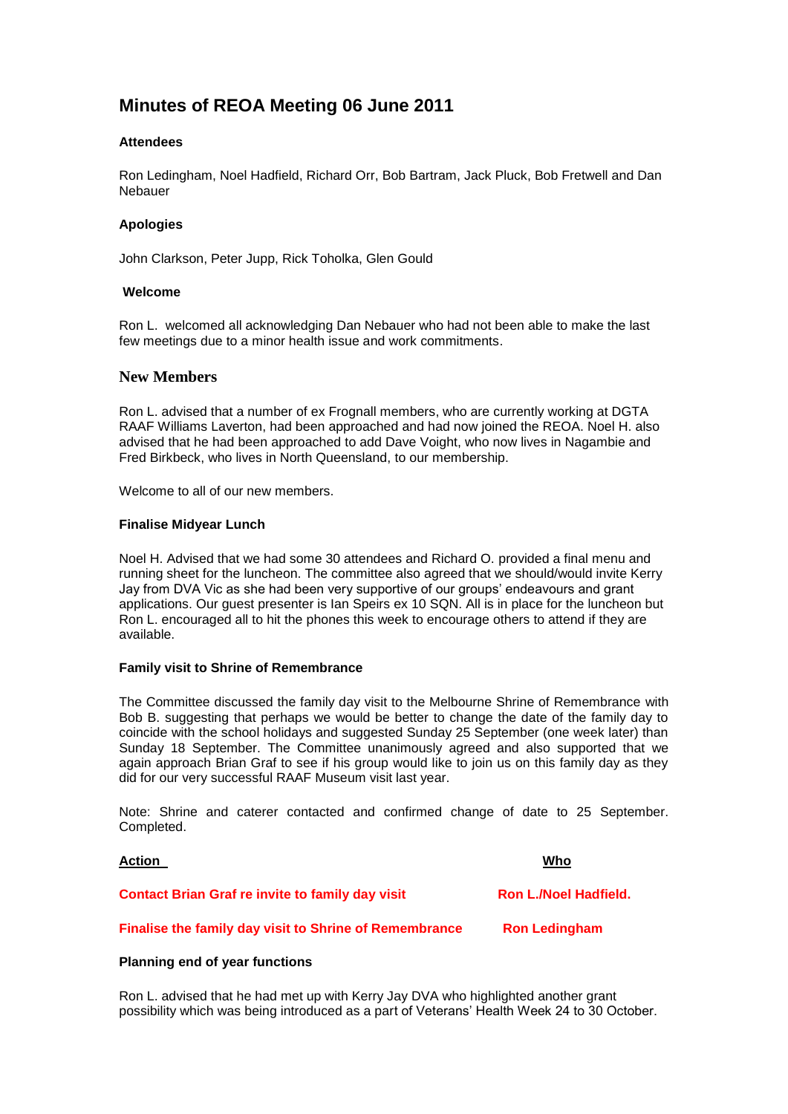# **Minutes of REOA Meeting 06 June 2011**

## **Attendees**

Ron Ledingham, Noel Hadfield, Richard Orr, Bob Bartram, Jack Pluck, Bob Fretwell and Dan Nebauer

## **Apologies**

John Clarkson, Peter Jupp, Rick Toholka, Glen Gould

## **Welcome**

Ron L. welcomed all acknowledging Dan Nebauer who had not been able to make the last few meetings due to a minor health issue and work commitments.

## **New Members**

Ron L. advised that a number of ex Frognall members, who are currently working at DGTA RAAF Williams Laverton, had been approached and had now joined the REOA. Noel H. also advised that he had been approached to add Dave Voight, who now lives in Nagambie and Fred Birkbeck, who lives in North Queensland, to our membership.

Welcome to all of our new members.

#### **Finalise Midyear Lunch**

Noel H. Advised that we had some 30 attendees and Richard O. provided a final menu and running sheet for the luncheon. The committee also agreed that we should/would invite Kerry Jay from DVA Vic as she had been very supportive of our groups' endeavours and grant applications. Our guest presenter is Ian Speirs ex 10 SQN. All is in place for the luncheon but Ron L. encouraged all to hit the phones this week to encourage others to attend if they are available.

#### **Family visit to Shrine of Remembrance**

The Committee discussed the family day visit to the Melbourne Shrine of Remembrance with Bob B. suggesting that perhaps we would be better to change the date of the family day to coincide with the school holidays and suggested Sunday 25 September (one week later) than Sunday 18 September. The Committee unanimously agreed and also supported that we again approach Brian Graf to see if his group would like to join us on this family day as they did for our very successful RAAF Museum visit last year.

Note: Shrine and caterer contacted and confirmed change of date to 25 September. Completed.

| <b>Action</b>                                           | Who                          |
|---------------------------------------------------------|------------------------------|
| <b>Contact Brian Graf re invite to family day visit</b> | <b>Ron L./Noel Hadfield.</b> |
| Finalise the family day visit to Shrine of Remembrance  | <b>Ron Ledingham</b>         |

#### **Planning end of year functions**

Ron L. advised that he had met up with Kerry Jay DVA who highlighted another grant possibility which was being introduced as a part of Veterans' Health Week 24 to 30 October.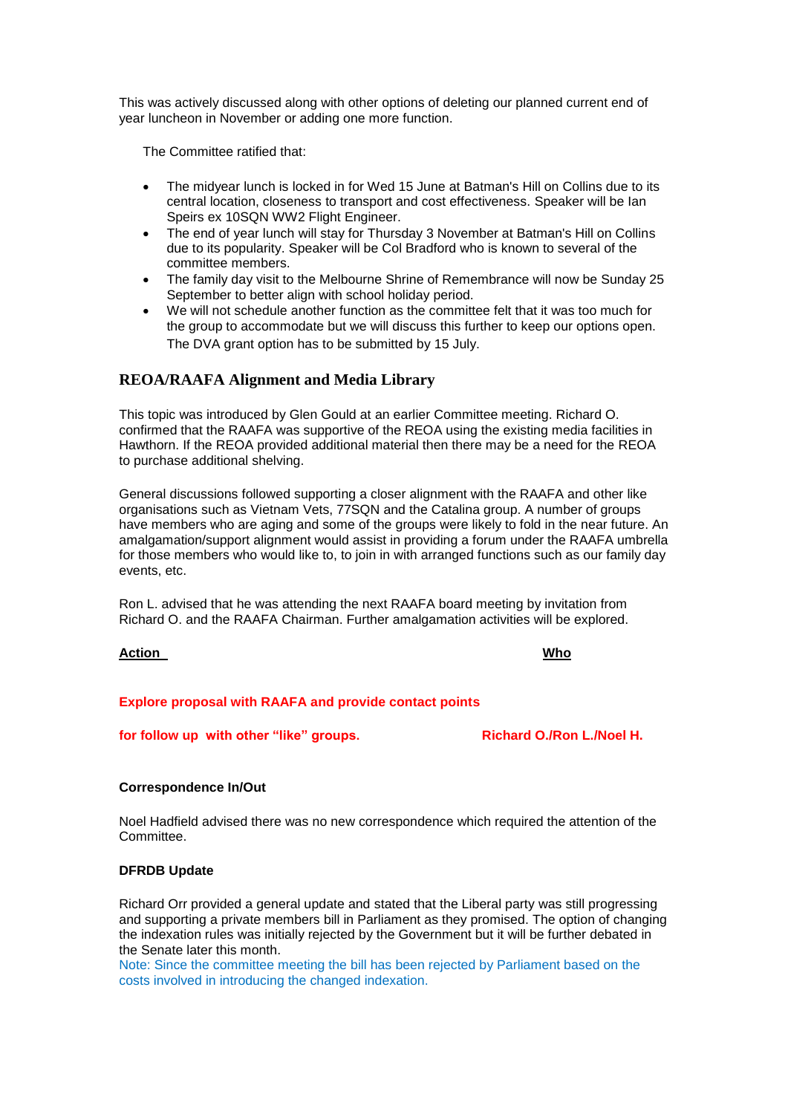This was actively discussed along with other options of deleting our planned current end of year luncheon in November or adding one more function.

The Committee ratified that:

- The midyear lunch is locked in for Wed 15 June at Batman's Hill on Collins due to its central location, closeness to transport and cost effectiveness. Speaker will be Ian Speirs ex 10SQN WW2 Flight Engineer.
- The end of year lunch will stay for Thursday 3 November at Batman's Hill on Collins due to its popularity. Speaker will be Col Bradford who is known to several of the committee members.
- The family day visit to the Melbourne Shrine of Remembrance will now be Sunday 25 September to better align with school holiday period.
- We will not schedule another function as the committee felt that it was too much for the group to accommodate but we will discuss this further to keep our options open. The DVA grant option has to be submitted by 15 July.

## **REOA/RAAFA Alignment and Media Library**

This topic was introduced by Glen Gould at an earlier Committee meeting. Richard O. confirmed that the RAAFA was supportive of the REOA using the existing media facilities in Hawthorn. If the REOA provided additional material then there may be a need for the REOA to purchase additional shelving.

General discussions followed supporting a closer alignment with the RAAFA and other like organisations such as Vietnam Vets, 77SQN and the Catalina group. A number of groups have members who are aging and some of the groups were likely to fold in the near future. An amalgamation/support alignment would assist in providing a forum under the RAAFA umbrella for those members who would like to, to join in with arranged functions such as our family day events, etc.

Ron L. advised that he was attending the next RAAFA board meeting by invitation from Richard O. and the RAAFA Chairman. Further amalgamation activities will be explored.

#### **Action Who**

#### **Explore proposal with RAAFA and provide contact points**

**for follow up with other "like" groups. Richard O./Ron L./Noel H.**

#### **Correspondence In/Out**

Noel Hadfield advised there was no new correspondence which required the attention of the Committee.

#### **DFRDB Update**

Richard Orr provided a general update and stated that the Liberal party was still progressing and supporting a private members bill in Parliament as they promised. The option of changing the indexation rules was initially rejected by the Government but it will be further debated in the Senate later this month.

Note: Since the committee meeting the bill has been rejected by Parliament based on the costs involved in introducing the changed indexation.